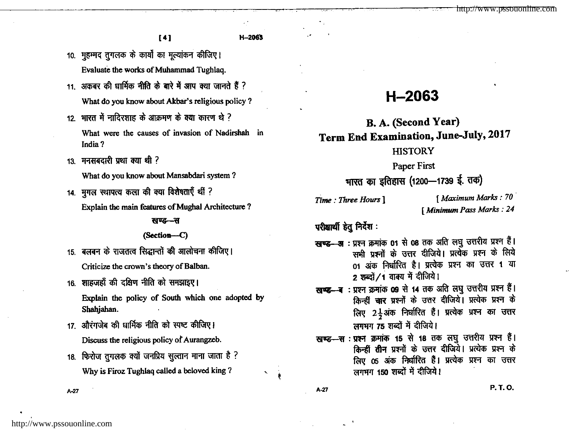<sup>t</sup>4l H-2063

- 10. मुहम्मद तुगलक के कार्यों का मुल्यांकन कीजिए। Evaluate the works of Muhammad Tughlaq.
- 11. अकबर की धार्मिक नीति के बारे में आप क्या जानते हैं ? What do you know about Akbar's religious policy ?
- $12.$  भारत में नादिरशाह के आक्रमण के क्या कारण थे ? What were the causes of invasion of Nadirshah in India ?
- $13.$  मनसबदारी प्रथा क्या थी ?

What do you know about Mansabdari system ?

14. मुगल स्थापत्य कला की क्या विशेषताएँ थीं ? Explain the main features of Mughal Architecture ?

खण्ड—स

### (Section-C)

- 15. बलबन के राजतत्व सिद्धान्तों की आलोचना कीजिए। Criticize the crown's theory of Balban.
- 16. शाहजहाँ की दक्षिण नीति को समझाइए। Explain the policy of South which one adopted by Shahjahan.
- 17. औरंगजेब की धार्मिक नीति को स्पष्ट कीजिए। Discuss the religious policy of Aurangzeb.
- 18. फिरोज तुगलक क्यों जनप्रिय सुल्तान माना जाता है ? Why is Firoz Tughlaq called a beloved king ?

# H-2063

B. A. (Second Year) Term End Examination, June-July, 2017

## **HISTORY**

Paper First

भारत का इतिहास (1200—1739 ई. तक)

Time : Three Hours ] [ Maximum Marks : 70 [ Minimum Pass Marks : 24

 $\boldsymbol{\mu}$ सीक्षार्थी हेतु निर्देश:

- खण्ड--अ: प्रश्न क्रमांक 01 से 08 तक अति लघु उत्तरीय प्रश्न हैं। सभी प्रश्नों के उत्तर दीजिये। प्रत्येक प्रश्न के लिये 01 अंक निर्धारित है। प्रत्येक प्रश्न का उत्तर 1 या 2 शब्दों / 1 वाक्य में दीजिये।
- खण्ड- ब : प्रश्न क्रमांक 09 से 14 तक अति लघु उत्तरीय प्रश्न हैं। किन्हीं चार प्रश्नों के उत्तर दीजिये। प्रत्येक प्रश्न के लिए 2 $\frac{1}{2}$ अंक निर्धारित हैं। प्रत्येक प्रश्न का उत्तर लगभग 75 शब्दों में दीजिये।
- खण्ड-सः प्रश्न क्रमांक 15 से 18 तक लघु उत्तरीय प्रश्न हैं। किन्हीं तीन प्रश्नों के उत्तर दीजिये। प्रत्येक प्रश्न के लिए 05 अंक निर्धारित हैं। प्रत्येक प्रश्न का उत्तर तगभग 150 शब्दों में दीजिये।

 $A-27$  P. T. O.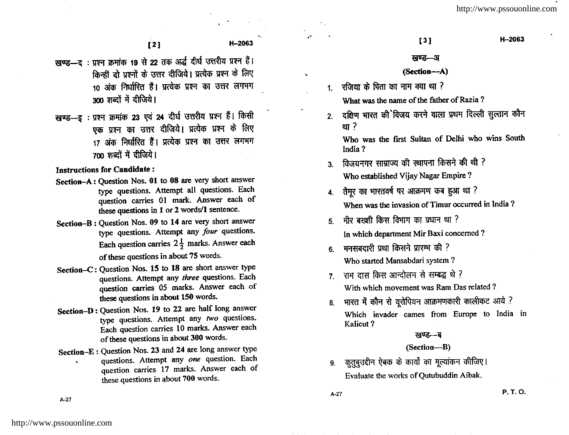- स्वण्ड—द: प्रश्न क्रमांक 19 से 22 तक अर्द्ध दीर्घ उत्तरीय प्रश्न हैं। क्रिन्हीं दो पश्नों के उत्तर दीजिये। प्रत्येक प्रश्न के लिए  $\overline{10}$  अंक निर्धारित हैं। प्रत्येक प्रश्न का उत्तर लगभग 300 शब्दों में दीजिये।
- खण्ड- इः प्रश्न क्रमांक 23 एवं 24 दीर्घ उत्तरीय प्रश्न हैं। किसी एक प्रश्न का उत्तर दीजिये। प्रत्येक प्रश्न के लिए 17 अंक निर्धारित हैं। प्रत्येक प्रश्न का उत्तर लगभग 700 शब्दों में दीजिये।

Instructions for Candidate :

- Section-A: Question Nos. 0l to 08 are very short answer type questions. Attempt all questions. Each question carries 01 mark. Answer each of these questions in 1 or 2 words/1 sentence.
- Section-B: Question Nos. 09 to 14 are very short answer type questions. Attempt any four questions. Each question carries  $2\frac{1}{2}$  marks. Answer each of these questions in about 75 words.
- Section-C: Question Nos. 15 to 18 are short answer type questions. Attempt any three questions. Each question carries 05 marks. Answer each of these questions in about 150 words.
- Section-D: Question Nos. 19 to 22 are half long answer type questions. Attempt any two questions. Each question carries 10 marks. Answer each of these questions in about 300 words.
- Section-E : Question Nos. 23 and 24 are long answer type questions. Attempt any one question. Each question carries 17 marks. Answer each of these questions in about 700 words.

### खण्ड—अ

### (Section-A)

 $1$  रजिया के पिता का नाम क्या था ?

What was the name of the father of Razia ?

2. दक्षिण भारत की विजय करने वाला प्रथम दिल्ली सुल्तान कौन  $2\pi$ 

Who was the first Sultan of Delhi who wins South India ?

- 3. विजयनगर साम्राज्य की स्थापना किसने की थी ? Who established Vijay Nagar Empire ?
- 4. तैमूर का भारतवर्ष पर आक्रमण कब हुआ था ? When was the invasion of Timur occurred in India ?
- $5$   $\overline{q}$  fix avget for function function  $\overline{q}$ In which department Mir Baxi concemed ?
- $6.$  मनसबदारी प्रथा किसने प्रारम्भ की ? Who started Mansabdari system?
- 7. राम दास किस आन्दोलन से सम्बद्ध थे ? With which movement was Ram Das related ?
- $8.$  भारत में कौन से यूरोपियन आक्रमणकारी कालीकट आये ? Which invader cames from Europe to India in Kalicut ?

### खण्ड—ब

### (Section-B)

9. कुतुबुउद्दीन ऐबक के कार्यों का मूल्यांकन कीजिए। Evaluate the works of Qutubuddin Aibak.